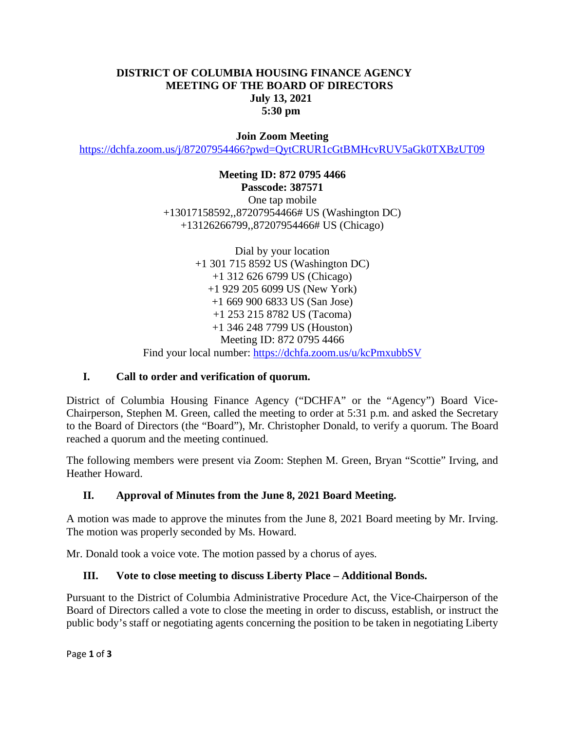### **DISTRICT OF COLUMBIA HOUSING FINANCE AGENCY MEETING OF THE BOARD OF DIRECTORS July 13, 2021 5:30 pm**

**Join Zoom Meeting**

<https://dchfa.zoom.us/j/87207954466?pwd=QytCRUR1cGtBMHcvRUV5aGk0TXBzUT09>

#### **Meeting ID: 872 0795 4466 Passcode: 387571** One tap mobile

+13017158592,,87207954466# US (Washington DC) +13126266799,,87207954466# US (Chicago)

Dial by your location +1 301 715 8592 US (Washington DC) +1 312 626 6799 US (Chicago) +1 929 205 6099 US (New York) +1 669 900 6833 US (San Jose) +1 253 215 8782 US (Tacoma) +1 346 248 7799 US (Houston) Meeting ID: 872 0795 4466 Find your local number:<https://dchfa.zoom.us/u/kcPmxubbSV>

## **I. Call to order and verification of quorum.**

District of Columbia Housing Finance Agency ("DCHFA" or the "Agency") Board Vice-Chairperson, Stephen M. Green, called the meeting to order at 5:31 p.m. and asked the Secretary to the Board of Directors (the "Board"), Mr. Christopher Donald, to verify a quorum. The Board reached a quorum and the meeting continued.

The following members were present via Zoom: Stephen M. Green, Bryan "Scottie" Irving, and Heather Howard.

## **II. Approval of Minutes from the June 8, 2021 Board Meeting.**

A motion was made to approve the minutes from the June 8, 2021 Board meeting by Mr. Irving. The motion was properly seconded by Ms. Howard.

Mr. Donald took a voice vote. The motion passed by a chorus of ayes.

#### **III. Vote to close meeting to discuss Liberty Place – Additional Bonds.**

Pursuant to the District of Columbia Administrative Procedure Act, the Vice-Chairperson of the Board of Directors called a vote to close the meeting in order to discuss, establish, or instruct the public body's staff or negotiating agents concerning the position to be taken in negotiating Liberty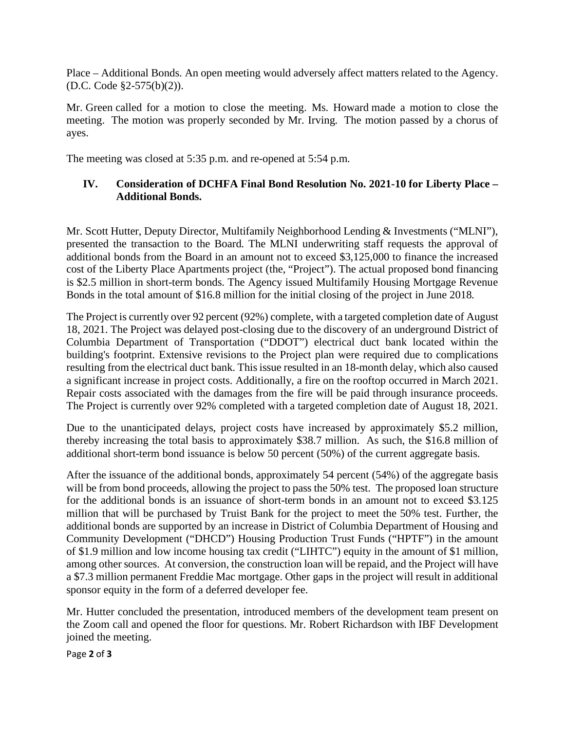Place – Additional Bonds. An open meeting would adversely affect matters related to the Agency. (D.C. Code §2-575(b)(2)).

Mr. Green called for a motion to close the meeting. Ms. Howard made a motion to close the meeting. The motion was properly seconded by Mr. Irving. The motion passed by a chorus of ayes.

The meeting was closed at 5:35 p.m. and re-opened at 5:54 p.m.

## **IV. Consideration of DCHFA Final Bond Resolution No. 2021-10 for Liberty Place – Additional Bonds.**

Mr. Scott Hutter, Deputy Director, Multifamily Neighborhood Lending & Investments ("MLNI"), presented the transaction to the Board. The MLNI underwriting staff requests the approval of additional bonds from the Board in an amount not to exceed \$3,125,000 to finance the increased cost of the Liberty Place Apartments project (the, "Project"). The actual proposed bond financing is \$2.5 million in short-term bonds. The Agency issued Multifamily Housing Mortgage Revenue Bonds in the total amount of \$16.8 million for the initial closing of the project in June 2018.

The Project is currently over 92 percent (92%) complete, with a targeted completion date of August 18, 2021. The Project was delayed post-closing due to the discovery of an underground District of Columbia Department of Transportation ("DDOT") electrical duct bank located within the building's footprint. Extensive revisions to the Project plan were required due to complications resulting from the electrical duct bank. This issue resulted in an 18-month delay, which also caused a significant increase in project costs. Additionally, a fire on the rooftop occurred in March 2021. Repair costs associated with the damages from the fire will be paid through insurance proceeds. The Project is currently over 92% completed with a targeted completion date of August 18, 2021.

Due to the unanticipated delays, project costs have increased by approximately \$5.2 million, thereby increasing the total basis to approximately \$38.7 million. As such, the \$16.8 million of additional short-term bond issuance is below 50 percent (50%) of the current aggregate basis.

After the issuance of the additional bonds, approximately 54 percent (54%) of the aggregate basis will be from bond proceeds, allowing the project to pass the 50% test. The proposed loan structure for the additional bonds is an issuance of short-term bonds in an amount not to exceed \$3.125 million that will be purchased by Truist Bank for the project to meet the 50% test. Further, the additional bonds are supported by an increase in District of Columbia Department of Housing and Community Development ("DHCD") Housing Production Trust Funds ("HPTF") in the amount of \$1.9 million and low income housing tax credit ("LIHTC") equity in the amount of \$1 million, among other sources. At conversion, the construction loan will be repaid, and the Project will have a \$7.3 million permanent Freddie Mac mortgage. Other gaps in the project will result in additional sponsor equity in the form of a deferred developer fee.

Mr. Hutter concluded the presentation, introduced members of the development team present on the Zoom call and opened the floor for questions. Mr. Robert Richardson with IBF Development joined the meeting.

Page **2** of **3**